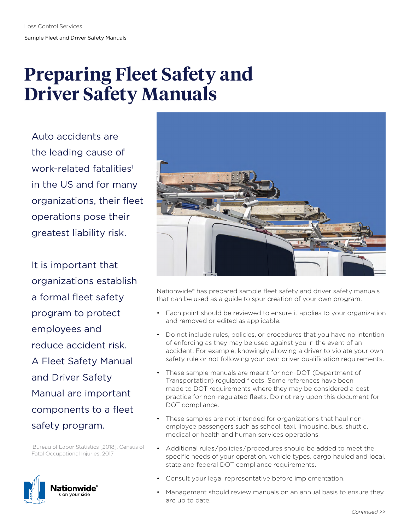# **Preparing Fleet Safety and Driver Safety Manuals**

Auto accidents are the leading cause of work-related fatalities<sup>1</sup> in the US and for many organizations, their fleet operations pose their greatest liability risk.

It is important that organizations establish a formal fleet safety program to protect employees and reduce accident risk. A Fleet Safety Manual and Driver Safety Manual are important components to a fleet safety program.

1 Bureau of Labor Statistics [2018]. Census of Fatal Occupational Injuries, 2017





Nationwide® has prepared sample fleet safety and driver safety manuals that can be used as a guide to spur creation of your own program.

- Each point should be reviewed to ensure it applies to your organization and removed or edited as applicable.
- Do not include rules, policies, or procedures that you have no intention of enforcing as they may be used against you in the event of an accident. For example, knowingly allowing a driver to violate your own safety rule or not following your own driver qualification requirements.
- These sample manuals are meant for non-DOT (Department of Transportation) regulated fleets. Some references have been made to DOT requirements where they may be considered a best practice for non-regulated fleets. Do not rely upon this document for DOT compliance.
- These samples are not intended for organizations that haul nonemployee passengers such as school, taxi, limousine, bus, shuttle, medical or health and human services operations.
- Additional rules / policies / procedures should be added to meet the specific needs of your operation, vehicle types, cargo hauled and local, state and federal DOT compliance requirements.
- Consult your legal representative before implementation.
- Management should review manuals on an annual basis to ensure they are up to date.